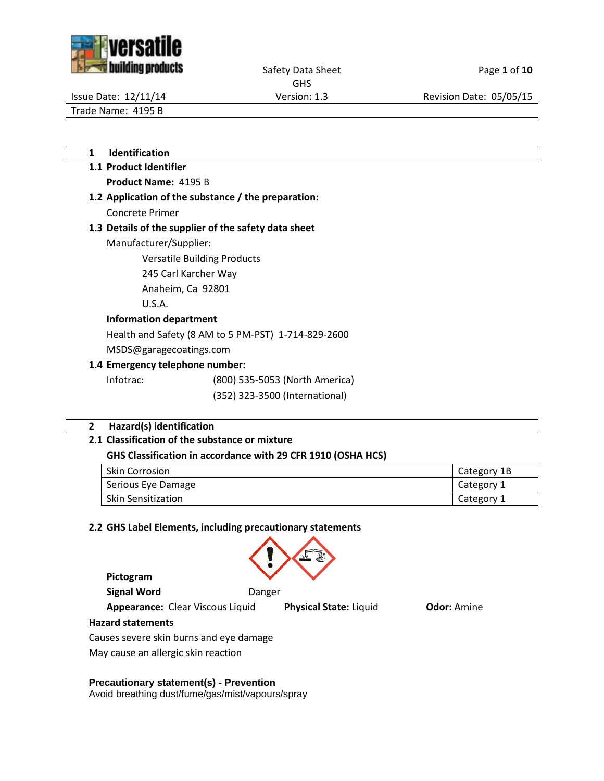



Safety Data Sheet Page 1 of 10 GHS

Issue Date: 12/11/14 Version: 1.3 Revision Date: 05/05/15

Trade Name: 4195 B

- **1 Identification**
- **1.1 Product Identifier Product Name:** 4195 B
- **1.2 Application of the substance / the preparation:** Concrete Primer

# **1.3 Details of the supplier of the safety data sheet**

Manufacturer/Supplier:

Versatile Building Products

245 Carl Karcher Way

Anaheim, Ca 92801

U.S.A.

## **Information department**

Health and Safety (8 AM to 5 PM-PST) 1-714-829-2600

MSDS@garagecoatings.com

# **1.4 Emergency telephone number:**

Infotrac: (800) 535-5053 (North America)

(352) 323-3500 (International)

# **2 Hazard(s) identification**

# **2.1 Classification of the substance or mixture**

# **GHS Classification in accordance with 29 CFR 1910 (OSHA HCS)**

| <b>Skin Corrosion</b>     | Category 1B |
|---------------------------|-------------|
| Serious Eye Damage        | Category 1  |
| <b>Skin Sensitization</b> | Category 1  |

#### **2.2 GHS Label Elements, including precautionary statements**



**Pictogram**

**Signal Word** Danger

**Appearance:** Clear Viscous Liquid **Physical State:** Liquid **Odor:** Amine

# **Hazard statements**

Causes severe skin burns and eye damage

May cause an allergic skin reaction

# **Precautionary statement(s) - Prevention**

Avoid breathing dust/fume/gas/mist/vapours/spray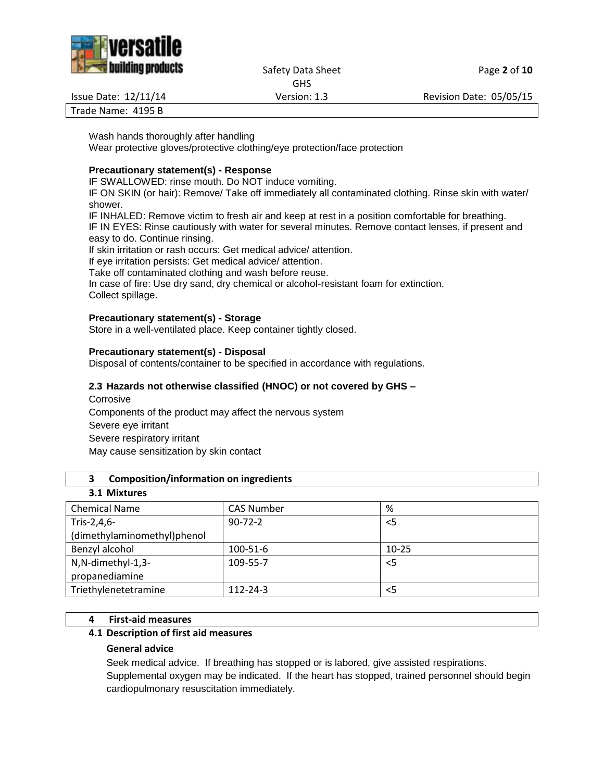

Safety Data Sheet Page 2 of 10

GHS

Issue Date: 12/11/14 Version: 1.3 Revision Date: 05/05/15

Trade Name: 4195 B

Wash hands thoroughly after handling Wear protective gloves/protective clothing/eye protection/face protection

# **Precautionary statement(s) - Response**

IF SWALLOWED: rinse mouth. Do NOT induce vomiting.

IF ON SKIN (or hair): Remove/ Take off immediately all contaminated clothing. Rinse skin with water/ shower.

IF INHALED: Remove victim to fresh air and keep at rest in a position comfortable for breathing.

IF IN EYES: Rinse cautiously with water for several minutes. Remove contact lenses, if present and easy to do. Continue rinsing.

If skin irritation or rash occurs: Get medical advice/ attention.

If eye irritation persists: Get medical advice/ attention.

Take off contaminated clothing and wash before reuse.

In case of fire: Use dry sand, dry chemical or alcohol-resistant foam for extinction. Collect spillage.

## **Precautionary statement(s) - Storage**

Store in a well-ventilated place. Keep container tightly closed.

## **Precautionary statement(s) - Disposal**

Disposal of contents/container to be specified in accordance with regulations.

## **2.3 Hazards not otherwise classified (HNOC) or not covered by GHS –**

**Corrosive** Components of the product may affect the nervous system Severe eye irritant Severe respiratory irritant May cause sensitization by skin contact

#### **3 Composition/information on ingredients**

| <b>Chemical Name</b>        | <b>CAS Number</b> | %         |
|-----------------------------|-------------------|-----------|
| Tris-2,4,6-                 | $90 - 72 - 2$     | $<$ 5     |
| (dimethylaminomethyl)phenol |                   |           |
| Benzyl alcohol              | 100-51-6          | $10 - 25$ |
| N,N-dimethyl-1,3-           | 109-55-7          | $<$ 5     |
| propanediamine              |                   |           |
| Triethylenetetramine        | $112 - 24 - 3$    | $<$ 5     |
|                             |                   |           |

# **4 First-aid measures**

#### **4.1 Description of first aid measures**

#### **General advice**

Seek medical advice. If breathing has stopped or is labored, give assisted respirations. Supplemental oxygen may be indicated. If the heart has stopped, trained personnel should begin cardiopulmonary resuscitation immediately.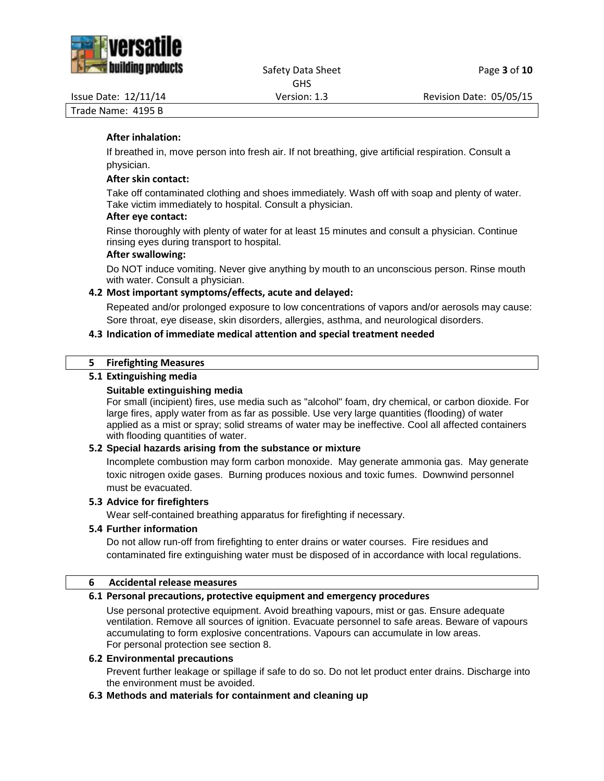

# Safety Data Sheet Page **3** of **10**

GHS

Issue Date: 12/11/14 Version: 1.3 Revision Date: 05/05/15

Trade Name: 4195 B

# **After inhalation:**

If breathed in, move person into fresh air. If not breathing, give artificial respiration. Consult a physician.

#### **After skin contact:**

Take off contaminated clothing and shoes immediately. Wash off with soap and plenty of water. Take victim immediately to hospital. Consult a physician.

## **After eye contact:**

Rinse thoroughly with plenty of water for at least 15 minutes and consult a physician. Continue rinsing eyes during transport to hospital.

#### **After swallowing:**

Do NOT induce vomiting. Never give anything by mouth to an unconscious person. Rinse mouth with water. Consult a physician.

# **4.2 Most important symptoms/effects, acute and delayed:**

Repeated and/or prolonged exposure to low concentrations of vapors and/or aerosols may cause: Sore throat, eye disease, skin disorders, allergies, asthma, and neurological disorders.

## **4.3 Indication of immediate medical attention and special treatment needed**

#### **5 Firefighting Measures**

## **5.1 Extinguishing media**

## **Suitable extinguishing media**

For small (incipient) fires, use media such as "alcohol" foam, dry chemical, or carbon dioxide. For large fires, apply water from as far as possible. Use very large quantities (flooding) of water applied as a mist or spray; solid streams of water may be ineffective. Cool all affected containers with flooding quantities of water.

#### **5.2 Special hazards arising from the substance or mixture**

Incomplete combustion may form carbon monoxide. May generate ammonia gas. May generate toxic nitrogen oxide gases. Burning produces noxious and toxic fumes. Downwind personnel must be evacuated.

#### **5.3 Advice for firefighters**

Wear self-contained breathing apparatus for firefighting if necessary.

#### **5.4 Further information**

Do not allow run-off from firefighting to enter drains or water courses. Fire residues and contaminated fire extinguishing water must be disposed of in accordance with local regulations.

#### **6 Accidental release measures**

#### **6.1 Personal precautions, protective equipment and emergency procedures**

Use personal protective equipment. Avoid breathing vapours, mist or gas. Ensure adequate ventilation. Remove all sources of ignition. Evacuate personnel to safe areas. Beware of vapours accumulating to form explosive concentrations. Vapours can accumulate in low areas. For personal protection see section 8.

#### **6.2 Environmental precautions**

Prevent further leakage or spillage if safe to do so. Do not let product enter drains. Discharge into the environment must be avoided.

#### **6.3 Methods and materials for containment and cleaning up**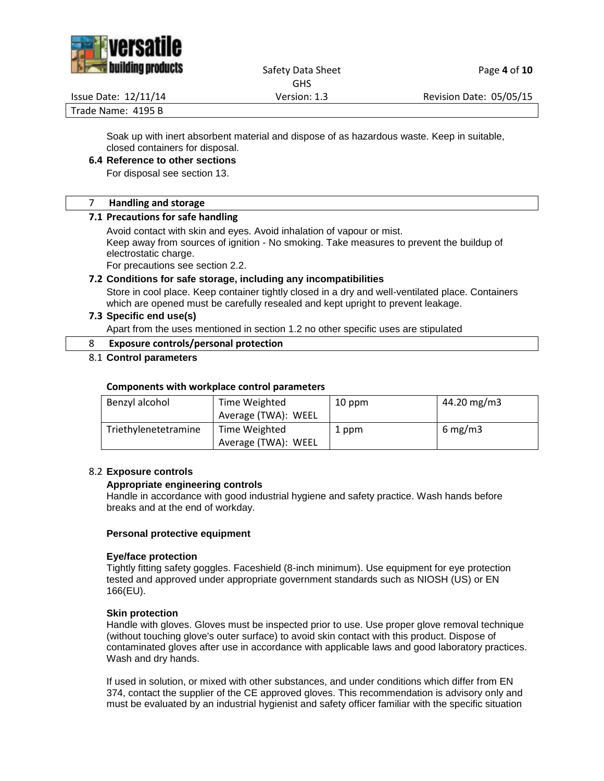

# Safety Data Sheet Page 4 of 10

GHS

Issue Date: 12/11/14 Version: 1.3 Revision Date: 05/05/15

Trade Name: 4195 B

Soak up with inert absorbent material and dispose of as hazardous waste. Keep in suitable, closed containers for disposal.

# **6.4 Reference to other sections**

For disposal see section 13.

## 7 **Handling and storage**

## **7.1 Precautions for safe handling**

Avoid contact with skin and eyes. Avoid inhalation of vapour or mist. Keep away from sources of ignition - No smoking. Take measures to prevent the buildup of electrostatic charge.

For precautions see section 2.2.

# **7.2 Conditions for safe storage, including any incompatibilities**

Store in cool place. Keep container tightly closed in a dry and well-ventilated place. Containers which are opened must be carefully resealed and kept upright to prevent leakage.

# **7.3 Specific end use(s)**

Apart from the uses mentioned in section 1.2 no other specific uses are stipulated

# 8 **Exposure controls/personal protection**

## 8.1 **Control parameters**

# **Components with workplace control parameters**

| Benzyl alcohol       | Time Weighted       | 10 ppm | 44.20 mg/m3 |
|----------------------|---------------------|--------|-------------|
|                      | Average (TWA): WEEL |        |             |
| Triethylenetetramine | Time Weighted       | 1 ppm  | $6$ mg/m3   |
|                      | Average (TWA): WEEL |        |             |

# 8.2 **Exposure controls**

# **Appropriate engineering controls**

Handle in accordance with good industrial hygiene and safety practice. Wash hands before breaks and at the end of workday.

#### **Personal protective equipment**

#### **Eye/face protection**

Tightly fitting safety goggles. Faceshield (8-inch minimum). Use equipment for eye protection tested and approved under appropriate government standards such as NIOSH (US) or EN 166(EU).

#### **Skin protection**

Handle with gloves. Gloves must be inspected prior to use. Use proper glove removal technique (without touching glove's outer surface) to avoid skin contact with this product. Dispose of contaminated gloves after use in accordance with applicable laws and good laboratory practices. Wash and dry hands.

If used in solution, or mixed with other substances, and under conditions which differ from EN 374, contact the supplier of the CE approved gloves. This recommendation is advisory only and must be evaluated by an industrial hygienist and safety officer familiar with the specific situation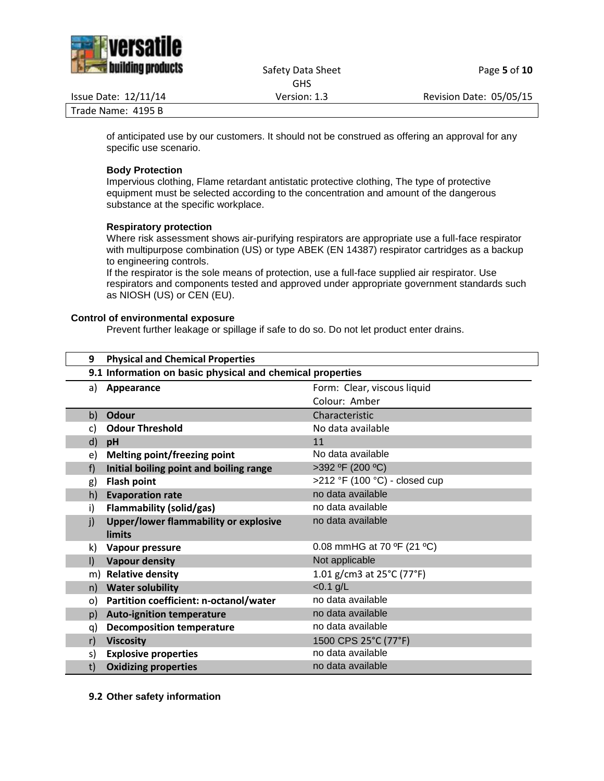

#### Safety Data Sheet Page 5 of 10 GHS

Issue Date: 12/11/14 Version: 1.3 Revision Date: 05/05/15

Trade Name: 4195 B

of anticipated use by our customers. It should not be construed as offering an approval for any specific use scenario.

## **Body Protection**

Impervious clothing, Flame retardant antistatic protective clothing, The type of protective equipment must be selected according to the concentration and amount of the dangerous substance at the specific workplace.

## **Respiratory protection**

Where risk assessment shows air-purifying respirators are appropriate use a full-face respirator with multipurpose combination (US) or type ABEK (EN 14387) respirator cartridges as a backup to engineering controls.

If the respirator is the sole means of protection, use a full-face supplied air respirator. Use respirators and components tested and approved under appropriate government standards such as NIOSH (US) or CEN (EU).

## **Control of environmental exposure**

Prevent further leakage or spillage if safe to do so. Do not let product enter drains.

| <b>Physical and Chemical Properties</b><br>9                        |                                                |  |  |
|---------------------------------------------------------------------|------------------------------------------------|--|--|
| 9.1 Information on basic physical and chemical properties           |                                                |  |  |
| Appearance<br>a)                                                    | Form: Clear, viscous liquid                    |  |  |
|                                                                     | Colour: Amber                                  |  |  |
| <b>Odour</b><br>b)                                                  | Characteristic                                 |  |  |
| <b>Odour Threshold</b><br>C)                                        | No data available                              |  |  |
| d)<br>pH                                                            | 11                                             |  |  |
| <b>Melting point/freezing point</b><br>e)                           | No data available                              |  |  |
| Initial boiling point and boiling range<br>f)                       | >392 °F (200 °C)                               |  |  |
| <b>Flash point</b><br>g)                                            | >212 °F (100 °C) - closed cup                  |  |  |
| <b>Evaporation rate</b><br>h)                                       | no data available                              |  |  |
| Flammability (solid/gas)<br>i)                                      | no data available                              |  |  |
| <b>Upper/lower flammability or explosive</b><br>j)<br><b>limits</b> | no data available                              |  |  |
| Vapour pressure<br>k)                                               | 0.08 mmHG at 70 $\degree$ F (21 $\degree$ C)   |  |  |
| <b>Vapour density</b><br>$\mathsf{I}$                               | Not applicable                                 |  |  |
| <b>Relative density</b><br>m)                                       | 1.01 g/cm3 at $25^{\circ}$ C (77 $^{\circ}$ F) |  |  |
| <b>Water solubility</b><br>n)                                       | $< 0.1$ g/L                                    |  |  |
| Partition coefficient: n-octanol/water<br>$\circ$                   | no data available                              |  |  |
| <b>Auto-ignition temperature</b><br>p)                              | no data available                              |  |  |
| <b>Decomposition temperature</b><br>q)                              | no data available                              |  |  |
| <b>Viscosity</b><br>r)                                              | 1500 CPS 25°C (77°F)                           |  |  |
| <b>Explosive properties</b><br>s)                                   | no data available                              |  |  |
| <b>Oxidizing properties</b><br>t)                                   | no data available                              |  |  |

**9.2 Other safety information**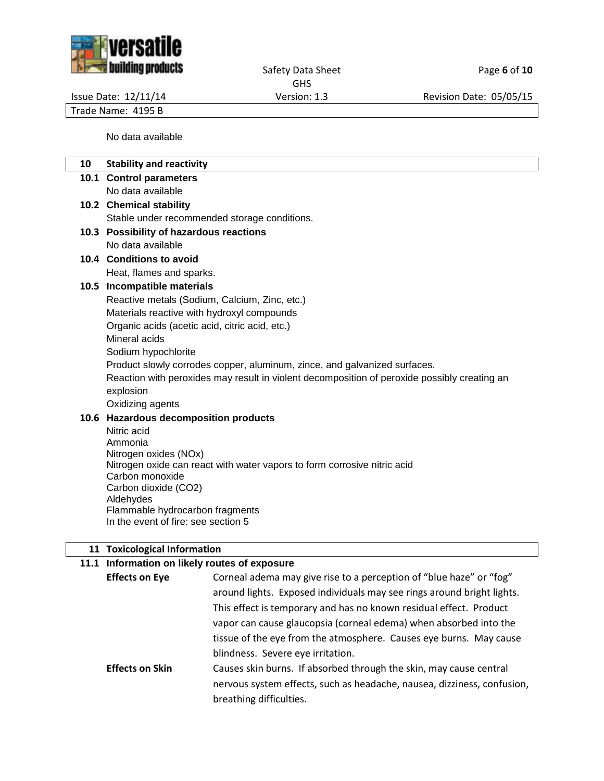

Safety Data Sheet **Page 6** of 10 GHS

Issue Date: 12/11/14 Version: 1.3 Revision Date: 05/05/15

Trade Name: 4195 B

No data available

| 10 | <b>Stability and reactivity</b>                                                              |
|----|----------------------------------------------------------------------------------------------|
|    | 10.1 Control parameters                                                                      |
|    | No data available                                                                            |
|    | 10.2 Chemical stability                                                                      |
|    | Stable under recommended storage conditions.                                                 |
|    | 10.3 Possibility of hazardous reactions                                                      |
|    | No data available                                                                            |
|    | 10.4 Conditions to avoid                                                                     |
|    | Heat, flames and sparks.                                                                     |
|    | 10.5 Incompatible materials                                                                  |
|    | Reactive metals (Sodium, Calcium, Zinc, etc.)                                                |
|    | Materials reactive with hydroxyl compounds                                                   |
|    | Organic acids (acetic acid, citric acid, etc.)                                               |
|    | Mineral acids                                                                                |
|    | Sodium hypochlorite                                                                          |
|    | Product slowly corrodes copper, aluminum, zince, and galvanized surfaces.                    |
|    | Reaction with peroxides may result in violent decomposition of peroxide possibly creating an |
|    | explosion                                                                                    |
|    | Oxidizing agents                                                                             |
|    | 10.6 Hazardous decomposition products                                                        |
|    | Nitric acid<br>Ammonia                                                                       |
|    | Nitrogen oxides (NOx)                                                                        |
|    | Nitrogen oxide can react with water vapors to form corrosive nitric acid                     |
|    | Carbon monoxide                                                                              |
|    | Carbon dioxide (CO2)                                                                         |
|    | Aldehydes<br>Flammable hydrocarbon fragments                                                 |
|    | In the event of fire: see section 5                                                          |
|    |                                                                                              |
|    | 11 Toxicological Information                                                                 |

# **11.1 Information on likely routes of exposure**

| <b>Effects on Eye</b>  | Corneal adema may give rise to a perception of "blue haze" or "fog"     |
|------------------------|-------------------------------------------------------------------------|
|                        | around lights. Exposed individuals may see rings around bright lights.  |
|                        | This effect is temporary and has no known residual effect. Product      |
|                        | vapor can cause glaucopsia (corneal edema) when absorbed into the       |
|                        | tissue of the eye from the atmosphere. Causes eye burns. May cause      |
|                        | blindness. Severe eye irritation.                                       |
| <b>Effects on Skin</b> | Causes skin burns. If absorbed through the skin, may cause central      |
|                        | nervous system effects, such as headache, nausea, dizziness, confusion, |
|                        | breathing difficulties.                                                 |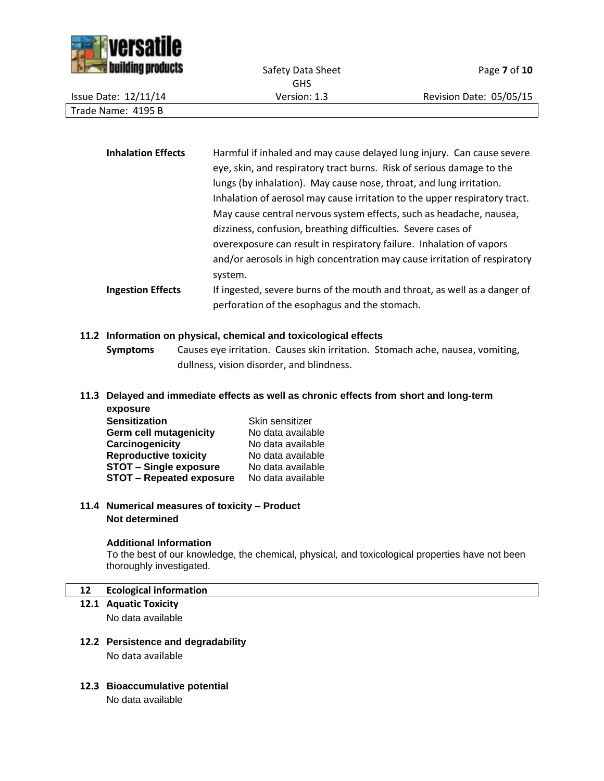

|                             | <b>GHS</b>   |                         |
|-----------------------------|--------------|-------------------------|
| <b>Issue Date: 12/11/14</b> | Version: 1.3 | Revision Date: 05/05/15 |
| Trade Name: 4195 B          |              |                         |
|                             |              |                         |

| <b>Inhalation Effects</b> | Harmful if inhaled and may cause delayed lung injury. Can cause severe     |
|---------------------------|----------------------------------------------------------------------------|
|                           | eye, skin, and respiratory tract burns. Risk of serious damage to the      |
|                           | lungs (by inhalation). May cause nose, throat, and lung irritation.        |
|                           | Inhalation of aerosol may cause irritation to the upper respiratory tract. |
|                           | May cause central nervous system effects, such as headache, nausea,        |
|                           | dizziness, confusion, breathing difficulties. Severe cases of              |
|                           | overexposure can result in respiratory failure. Inhalation of vapors       |
|                           | and/or aerosols in high concentration may cause irritation of respiratory  |
|                           | system.                                                                    |
| <b>Ingestion Effects</b>  | If ingested, severe burns of the mouth and throat, as well as a danger of  |
|                           | perforation of the esophagus and the stomach.                              |

#### **11.2 Information on physical, chemical and toxicological effects**

**Symptoms** Causes eye irritation. Causes skin irritation. Stomach ache, nausea, vomiting, dullness, vision disorder, and blindness.

#### **11.3 Delayed and immediate effects as well as chronic effects from short and long-term exposure**

| onpogui o                       |                   |
|---------------------------------|-------------------|
| <b>Sensitization</b>            | Skin sensitizer   |
| <b>Germ cell mutagenicity</b>   | No data available |
| Carcinogenicity                 | No data available |
| <b>Reproductive toxicity</b>    | No data available |
| <b>STOT - Single exposure</b>   | No data available |
| <b>STOT - Repeated exposure</b> | No data available |
|                                 |                   |

## **11.4 Numerical measures of toxicity – Product Not determined**

#### **Additional Information**

To the best of our knowledge, the chemical, physical, and toxicological properties have not been thoroughly investigated.

#### **12 Ecological information**

- **12.1 Aquatic Toxicity** No data available
- **12.2 Persistence and degradability** No data available
- **12.3 Bioaccumulative potential**

No data available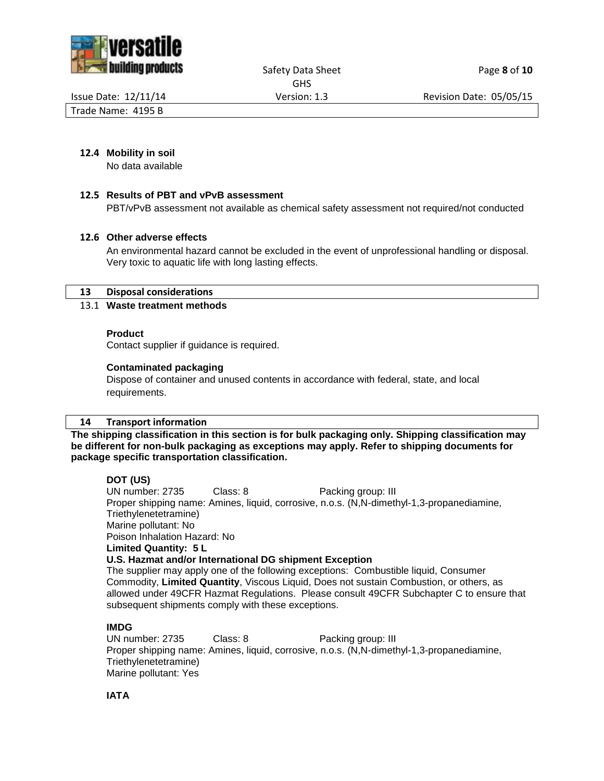



Safety Data Sheet Page 8 of 10 GHS

Issue Date: 12/11/14 Version: 1.3 Revision Date: 05/05/15

Trade Name: 4195 B

#### **12.4 Mobility in soil**

No data available

#### **12.5 Results of PBT and vPvB assessment**

PBT/vPvB assessment not available as chemical safety assessment not required/not conducted

#### **12.6 Other adverse effects**

An environmental hazard cannot be excluded in the event of unprofessional handling or disposal. Very toxic to aquatic life with long lasting effects.

#### **13 Disposal considerations**

## 13.1 **Waste treatment methods**

#### **Product**

Contact supplier if guidance is required.

#### **Contaminated packaging**

Dispose of container and unused contents in accordance with federal, state, and local requirements.

#### **14 Transport information**

**The shipping classification in this section is for bulk packaging only. Shipping classification may be different for non-bulk packaging as exceptions may apply. Refer to shipping documents for package specific transportation classification.**

#### **DOT (US)**

UN number: 2735 Class: 8 Packing group: III Proper shipping name: Amines, liquid, corrosive, n.o.s. (N,N-dimethyl-1,3-propanediamine, Triethylenetetramine) Marine pollutant: No Poison Inhalation Hazard: No **Limited Quantity: 5 L U.S. Hazmat and/or International DG shipment Exception** The supplier may apply one of the following exceptions: Combustible liquid, Consumer

Commodity, **Limited Quantity**, Viscous Liquid, Does not sustain Combustion, or others, as allowed under 49CFR Hazmat Regulations. Please consult 49CFR Subchapter C to ensure that subsequent shipments comply with these exceptions.

#### **IMDG**

UN number: 2735 Class: 8 Packing group: III Proper shipping name: Amines, liquid, corrosive, n.o.s. (N,N-dimethyl-1,3-propanediamine, Triethylenetetramine) Marine pollutant: Yes

**IATA**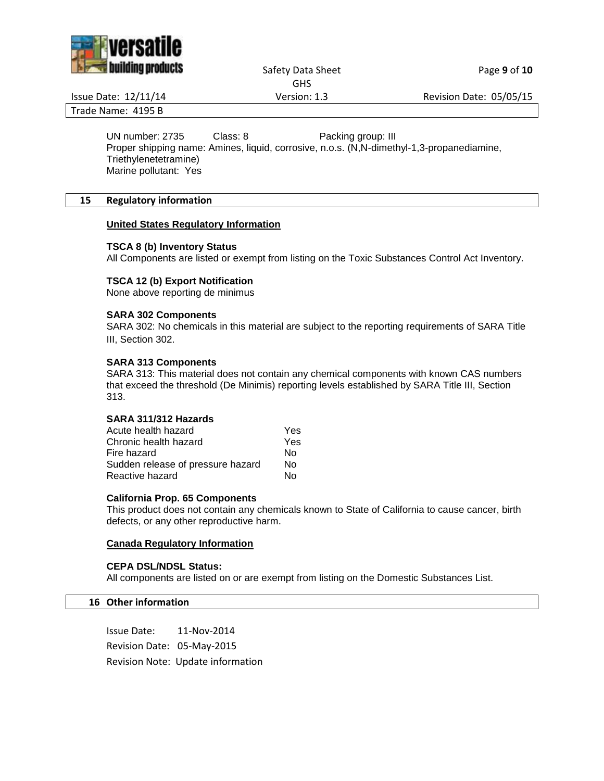

Safety Data Sheet Page 9 of 10 GHS

Issue Date: 12/11/14 Version: 1.3 Revision Date: 05/05/15

Trade Name: 4195 B

UN number: 2735 Class: 8 Packing group: III

Proper shipping name: Amines, liquid, corrosive, n.o.s. (N,N-dimethyl-1,3-propanediamine, Triethylenetetramine) Marine pollutant: Yes

## **15 Regulatory information**

## **United States Regulatory Information**

#### **TSCA 8 (b) Inventory Status**

All Components are listed or exempt from listing on the Toxic Substances Control Act Inventory.

## **TSCA 12 (b) Export Notification**

None above reporting de minimus

#### **SARA 302 Components**

SARA 302: No chemicals in this material are subject to the reporting requirements of SARA Title III, Section 302.

#### **SARA 313 Components**

SARA 313: This material does not contain any chemical components with known CAS numbers that exceed the threshold (De Minimis) reporting levels established by SARA Title III, Section 313.

#### **SARA 311/312 Hazards**

| Acute health hazard               | Yes |
|-----------------------------------|-----|
| Chronic health hazard             | Yes |
| Fire hazard                       | N٥  |
| Sudden release of pressure hazard | N٥  |
| Reactive hazard                   | N٥  |

#### **California Prop. 65 Components**

This product does not contain any chemicals known to State of California to cause cancer, birth defects, or any other reproductive harm.

#### **Canada Regulatory Information**

#### **CEPA DSL/NDSL Status:**

All components are listed on or are exempt from listing on the Domestic Substances List.

#### **16 Other information**

Issue Date: 11-Nov-2014 Revision Date: 05-May-2015 Revision Note: Update information